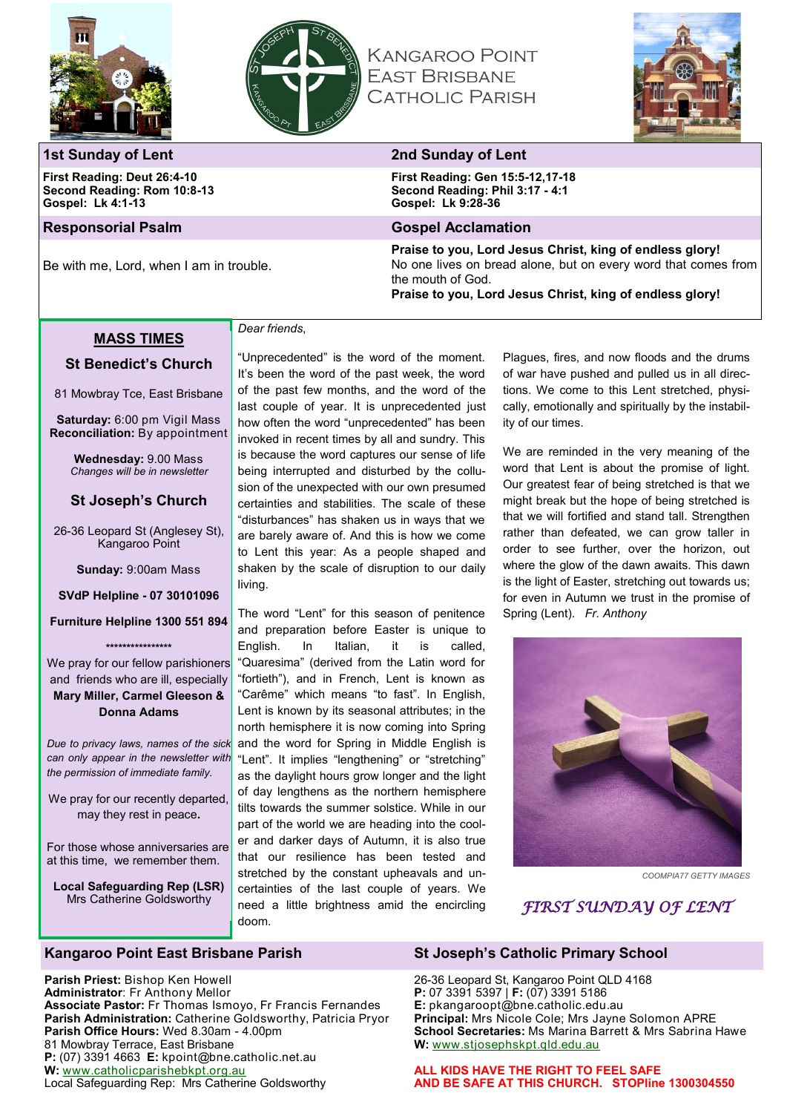



*Dear friends*,

# **KANGAROO POINT EAST BRISBANE CATHOLIC PARISH**



## **1st Sunday of Lent 2nd Sunday of Lent**

**First Reading: Deut 26:4-10 Second Reading: Rom 10:8-13 Gospel: Lk 4:1-13**

Be with me, Lord, when I am in trouble.

**First Reading: Gen 15:5-12,17-18 Second Reading: Phil 3:17 - 4:1 Gospel: Lk 9:28-36**

#### **Responsorial Psalm Gospel Acclamation**

**Praise to you, Lord Jesus Christ, king of endless glory!** No one lives on bread alone, but on every word that comes from the mouth of God.

### **Praise to you, Lord Jesus Christ, king of endless glory!**

#### **MASS TIMES**

# **St Benedict's Church**

81 Mowbray Tce, East Brisbane

**Saturday:** 6:00 pm Vigil Mass **Reconciliation:** By appointment

> **Wednesday:** 9.00 Mass *Changes will be in newsletter*

## **St Joseph's Church**

26-36 Leopard St (Anglesey St), Kangaroo Point

**Sunday:** 9:00am Mass

**SVdP Helpline - 07 30101096** 

#### **Furniture Helpline 1300 551 894**

**\*\*\*\*\*\*\*\*\*\*\*\*\*\*\*\*** We pray for our fellow parishioners and friends who are ill, especially **Mary Miller, Carmel Gleeson & Donna Adams**

*Due to privacy laws, names of the sick can only appear in the newsletter with the permission of immediate family.*

We pray for our recently departed, may they rest in peace**.**

For those whose anniversaries are at this time, we remember them.

**Local Safeguarding Rep (LSR)** Mrs Catherine Goldsworthy

It's been the word of the past week, the word of the past few months, and the word of the last couple of year. It is unprecedented just how often the word "unprecedented" has been invoked in recent times by all and sundry. This is because the word captures our sense of life being interrupted and disturbed by the collusion of the unexpected with our own presumed certainties and stabilities. The scale of these

"Unprecedented" is the word of the moment.

"disturbances" has shaken us in ways that we are barely aware of. And this is how we come to Lent this year: As a people shaped and shaken by the scale of disruption to our daily living.

The word "Lent" for this season of penitence and preparation before Easter is unique to English. In Italian, it is called, "Quaresima" (derived from the Latin word for "fortieth"), and in French, Lent is known as "Carême" which means "to fast". In English, Lent is known by its seasonal attributes; in the north hemisphere it is now coming into Spring and the word for Spring in Middle English is "Lent". It implies "lengthening" or "stretching" as the daylight hours grow longer and the light of day lengthens as the northern hemisphere tilts towards the summer solstice. While in our part of the world we are heading into the cooler and darker days of Autumn, it is also true that our resilience has been tested and stretched by the constant upheavals and uncertainties of the last couple of years. We need a little brightness amid the encircling doom.

Plagues, fires, and now floods and the drums of war have pushed and pulled us in all directions. We come to this Lent stretched, physically, emotionally and spiritually by the instability of our times.

We are reminded in the very meaning of the word that Lent is about the promise of light. Our greatest fear of being stretched is that we might break but the hope of being stretched is that we will fortified and stand tall. Strengthen rather than defeated, we can grow taller in order to see further, over the horizon, out where the glow of the dawn awaits. This dawn is the light of Easter, stretching out towards us; for even in Autumn we trust in the promise of Spring (Lent). *Fr. Anthony*



*COOMPIA77 GETTY IMAGES*

# *FIRST SUNDAY OF LENT*

### **Kangaroo Point East Brisbane Parish St Joseph's Catholic Primary School**

**Parish Priest:** Bishop Ken Howell **Administrator**: Fr Anthony Mellor **Associate Pastor:** Fr Thomas Ismoyo, Fr Francis Fernandes **Parish Administration:** Catherine Goldsworthy, Patricia Pryor **Parish Office Hours:** Wed 8.30am - 4.00pm 81 Mowbray Terrace, East Brisbane **P:** (07) 3391 4663 **E:** kpoint@bne.catholic.net.au **W:** [www.catholicparishebkpt.org.au](http://www.catholicparishebkpt.org.au) Local Safeguarding Rep: Mrs Catherine Goldsworthy

26-36 Leopard St, Kangaroo Point QLD 4168 **P:** 07 3391 5397 | **F:** (07) 3391 5186 **E:** pkangaroopt@bne.catholic.edu.au **Principal:** Mrs Nicole Cole; Mrs Jayne Solomon APRE **School Secretaries:** Ms Marina Barrett & Mrs Sabrina Hawe **W:** [www.stjosephskpt.qld.edu.au](http://www.stjosephskpt.qld.edu.au)

**ALL KIDS HAVE THE RIGHT TO FEEL SAFE AND BE SAFE AT THIS CHURCH. STOPline 1300304550**